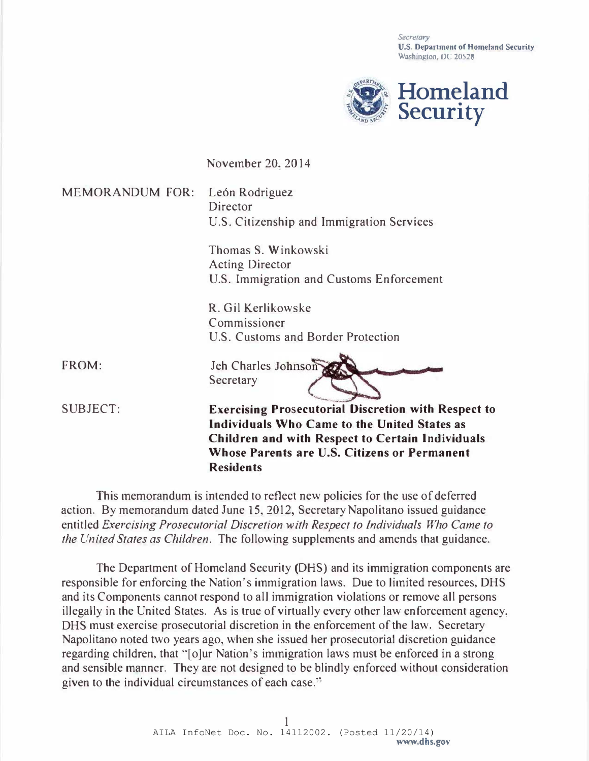Secretary U.S. Department of Homeland Security Washington, DC 20528



November 20, 2014

MEMORANDUM FOR: León Rodriguez Director U.S. Citizenship and Immigration Services

> Thomas S. Winkowski Acting Director U.S. Immigration and Customs Enforcement

R. Gil Kerlikowske Commissioner U.S. Customs and Border Protection R. Gil Kerlikowske<br>
Commissioner<br>
U.S. Customs and Border Protection<br>
Jeh Charles Johnson<br>
Secretary<br>
Exercising Prosecutorial Discretion with Respect to

FROM:

SUBJECT:

Individuals Wbo Came to tbe United States as Children and with Respect to Certain Individuals Whose Parents are U.S. Citizens or Permanent Residents

This memorandum is intended to reflect new policies for the use of deferred action. By memorandum dated June 15, 2012, Secretary Napolitano issued guidance entitled Exercising Prosecutorial Discretion with Respect to Individuals Who Came to the United States as Children. The following supplements and amends that guidance.

Jeh Charles Johnson

Secretary

The Department of Homeland Security (DRS) and its immigration components are responsible for enforcing the Nation's immigration laws. Due to limited resources, DHS and its Components cannot respond to all immigration violations or remove all persons illegally in the United States. As is true of virtually every other law enforcement agency, DHS must exercise prosecutorial discretion in the enforcement of the law. Secretary Napolitano noted two years ago, when she issued her prosecutorial discretion guidance regarding children, that "[o]ur Nation's immigration laws must be enforced in a strong and sensible manner. They are not designed to be blindly enforced without consideration given to the individual circumstances of each case."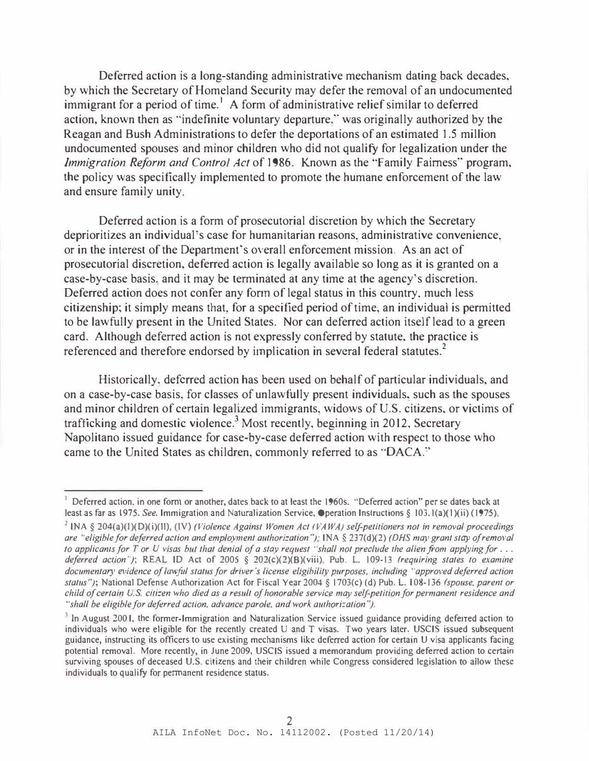Deferred action is a long-standing administrative mechanism dating back decades, by which the Secretary of Homeland Security may defer the removal of an undocumented immigrant for a period of time.<sup>1</sup> A form of administrative relief similar to deferred action, known then as "indefinite voluntary departure," was originally authorized by the Reagan and Bush Administrations to defer the deportations of an estimated 1.5 million undocumented spouses and minor children who did not qualify for legalization under the Immigration Reform and Control Act of 1986. Known as the "Family Fairness" program, the policy was specifically implemented to promote the humane enforcement of the law and ensure family unity.

Deferred action is a form of prosecutorial discretion by which the Secretary deprioritizes an individual's case for humanitarian reasons, administrative convenience, or in the interest of the Department's overall enforcement mission. As an act of prosecutorial discretion, deferred action is legally available so long as it is granted on a case-by-case basis, and it may be terminated at any time at the agency's discretion. Deferred action does not confer any fonn of legal status in this country, much less citizenship; it simply means that, for a specified period of time, an individual is permitted to be lawfully present in the United States. Nor can deferred action itself lead to a green card. Although deferred action is not expressly conferred by statute, the practice is referenced and therefore endorsed by implication in several federal statutes.<sup>2</sup>

Historically, deferred action has been used on behalf of particular individuals, and on a case-by-case basis, for classes of unlawfully present individuals, such as the spouses and minor children of certain legalized immigrants, widows of U.S. citizens, or victims of trafficking and domestic violence.<sup>3</sup> Most recently, beginning in 2012, Secretary Napolitano issued guidance for case-by-case deferred action with respect to those who came to the United States as children, commonly referred to as ·'OACA."

<sup>&</sup>lt;sup>1</sup> Deferred action, in one form or another, dates back to at least the 1960s. "Deferred action" per se dates back at least as far as 1975. See. Immigration and Naturalization Service, Operation Instructions § 103.1(a)(1)(ii) (1975).

<sup>&</sup>lt;sup>2</sup> INA § 204(a)(1)(D)(i)(ll), (IV) (Violence Against Women Act (VAWA) self-petitioners not in removal proceedings are "eligible for deferred action and employment authorization"); INA § 237(d)(2) (DHS may grant stay of removal to applicants for T or U visas but that denial of a stay request 'shall not preclude the alien from applying for ... deferred action"); REAL ID Act of 2005 § 202(c)(2)(B)(viii), Pub. L. 109-13 (requiring states to examine documentary evidence of lawful status for driver's license eligibility purposes, including "approved deferred action status"); National Defense Authorization Act for Fiscal Year 2004 § 1703(c) (d) Pub. L. 108-136 (spouse, parent or child of certain U.S. citizen who died as a result of honorable service may self-petition for permanent residence and "shall be eligible for deferred action, advance parole, and work authorization").

 $3$  In August 2001, the former-Immigration and Naturalization Service issued guidance providing deferred action to individuals who were eligible for the recently created U and T visas. Two years later, USCIS issued subsequent guidance, instructing its officers to use existing mechanisms like deferred action for certain U visa applicants facing potential removal. More recently, in June 2009, USCIS issued a memorandum providing deferred action to certain surviving spouses of deceased U.S. citizens and their children while Congress considered legislation to allow these individuals to qualify for permanent residence status.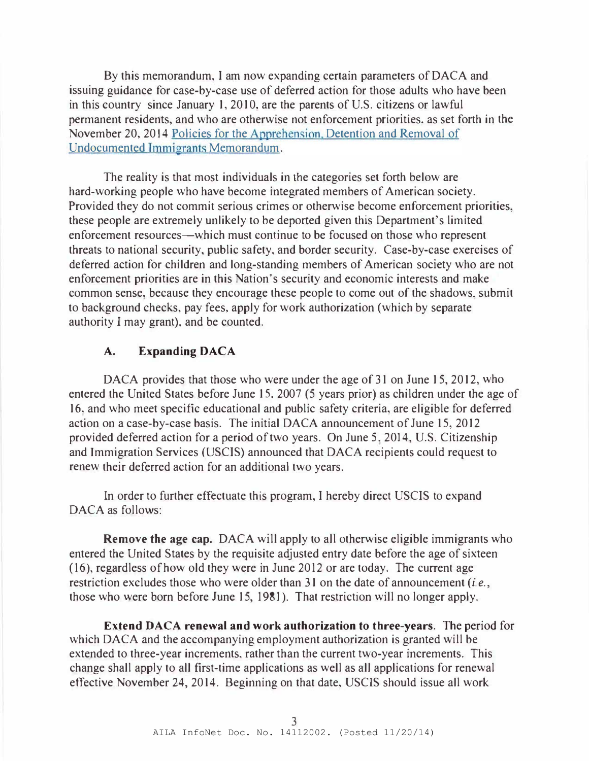By this memorandum, I am now expanding certain parameters of DACA and issuing guidance for case-by-case use of deferred action for those adults who have been in this country since January 1, 2010, are the parents of U.S. citizens or lawful permanent residents, and who are otherwise not enforcement priorities, as set forth in the November 20, 2014 Policies for the Apprehension. Detention and Removal of Undocumented Immigrants Memorandum.

The reality is that most individuals in the categories set forth below are hard-working people who have become integrated members of American society. Provided they do not commit serious crimes or otherwise become enforcement priorities, these people are extremely unlikely to be deported given this Department's limited enforcement resources-which must continue to be focused on those who represent threats to national security, public safety, and border security. Case-by-case exercises of deferred action for children and long-standing members of American society who are not enforcement priorities are in this Nation's security and economic interests and make common sense, because they encourage these people to come out of the shadows, submit to background checks, pay fees, apply for work authorization (which by separate authority I may grant), and be counted.

## A. Expanding DACA

DACA provides that those who were under the age of 31 on June 15, 2012, who entered the United States before June 15, 2007 (5 years prior) as children under the age of 16. and who meet specific educational and public safety criteria, are eligible for deferred action on a case-by-case basis. The initial DACA announcement of June 15, 2012 provided deferred action for a period of two years. On June 5, 2014, U.S. Citizenship and Immigration Services (USCIS) announced that DACA recipients could request to renew their deferred action for an additional two years.

In order to further effectuate this program, I hereby direct USCIS to expand DACA as follows:

Remove the age cap. DACA will apply to all otherwise eligible immigrants who entered the United States by the requisite adjusted entry date before the age of sixteen (16), regardless of how old they were in June 2012 or are today. The current age restriction excludes those who were older than 31 on the date of announcement (*i.e.*, those who were born before June 15, 1981). That restriction will no longer apply.

Extend DACA renewal and work authorization to three-years. The period for which DACA and the accompanying employment authorization is granted will be extended to three-year increments, rather than the current two-year increments. This change shall apply to all first-time applications as well as all applications for renewal effective November 24,2014. Beginning on that date, USCIS should issue all work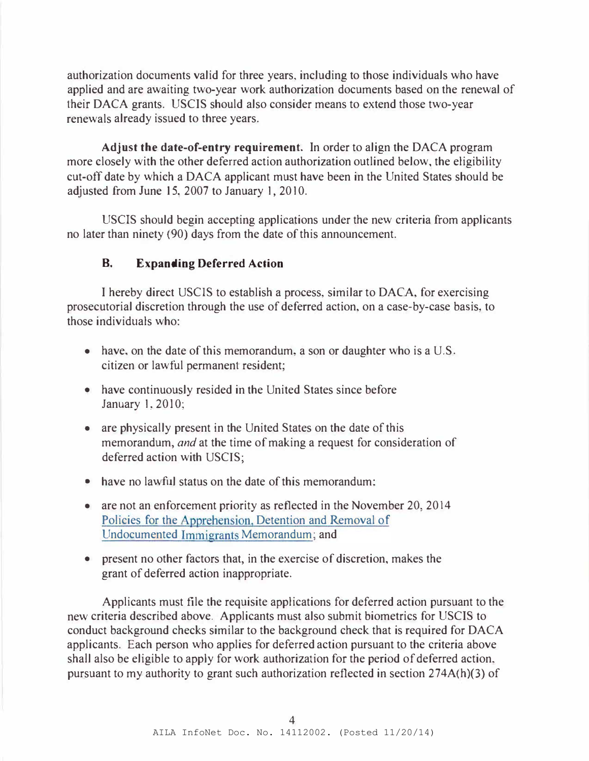authorization documents valid for three years, including to those individuals who have applied and are awaiting two-year work authorization documents based on the renewal of their DACA grants. USCIS should also consider means to extend those two-year renewals already issued to three years.

Adjust the date-of-entry requirement. In order to align the DACA program more closely with the other deferred action authorization outlined below, the eligibility cut-off date by which a DACA applicant must have been in the United States should be adjusted from June 15, 2007 to January 1, 2010.

USCIS should begin accepting applications under the new criteria from applicants no later than ninety (90) days from the date of this announcement.

## B. Expanding Deferred Action

I hereby direct USCIS to establish a process, similar to DACA, for exercising prosecutorial discretion through the use of deferred action, on a case-by-case basis, to those individuals who:

- have, on the date of this memorandum, a son or daughter who is a U.S. citizen or lawful permanent resident;
- have continuously resided in the United States since before January I, 2010;
- are physically present in the United States on the date of this memorandum, and at the time of making a request for consideration of deferred action with USCIS;
- have no lawful status on the date of this memorandum:
- are not an enforcement priority as reflected in the November 20, 2014 Policies for the Apprehension, Detention and Removal of Undocumented Immigrants Memorandum; and
- present no other factors that, in the exercise of discretion, makes the grant of deferred action inappropriate.

Applicants must file the requisite applications for deferred action pursuant to the new criteria described above. Applicants must also submit biometrics for USCIS to conduct background checks similar to the background check that is required for DACA applicants. Each person who applies for deferred action pursuant to the criteria above shall also be eligible to apply for work authorization for the period of deferred action, pursuant to my authority to grant such authorization reflected in section 274A(h)(3) of